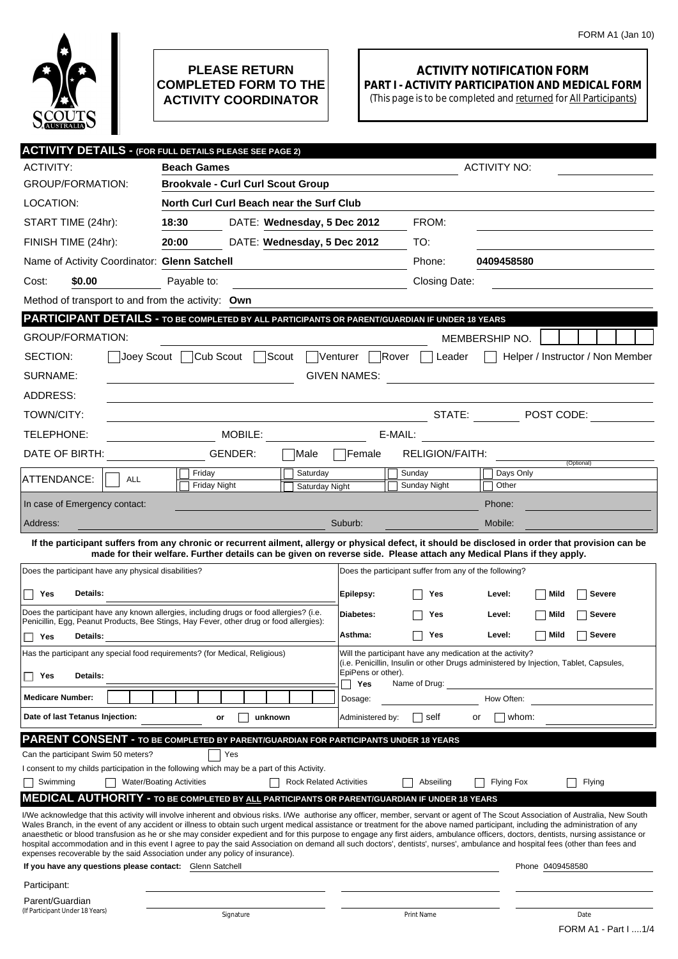

## **PLEASE RETURN COMPLETED FORM TO THE ACTIVITY COORDINATOR**

## **ACTIVITY NOTIFICATION FORM PART I - ACTIVITY PARTICIPATION AND MEDICAL FORM**

(This page is to be completed and returned for All Participants)

|                                                                                                                                                                                                                                                                                                                                                                        | <b>ACTIVITY DETAILS - (FOR FULL DETAILS PLEASE SEE PAGE 2)</b>                                                       |                                |                     |                                                           |                     |                                                                                       |
|------------------------------------------------------------------------------------------------------------------------------------------------------------------------------------------------------------------------------------------------------------------------------------------------------------------------------------------------------------------------|----------------------------------------------------------------------------------------------------------------------|--------------------------------|---------------------|-----------------------------------------------------------|---------------------|---------------------------------------------------------------------------------------|
| <b>ACTIVITY:</b>                                                                                                                                                                                                                                                                                                                                                       | <b>Beach Games</b>                                                                                                   |                                |                     |                                                           | <b>ACTIVITY NO:</b> |                                                                                       |
| <b>GROUP/FORMATION:</b>                                                                                                                                                                                                                                                                                                                                                | <b>Brookvale - Curl Curl Scout Group</b>                                                                             |                                |                     |                                                           |                     |                                                                                       |
| LOCATION:                                                                                                                                                                                                                                                                                                                                                              | North Curl Curl Beach near the Surf Club                                                                             |                                |                     |                                                           |                     |                                                                                       |
| START TIME (24hr):                                                                                                                                                                                                                                                                                                                                                     | 18:30                                                                                                                | DATE: Wednesday, 5 Dec 2012    |                     | FROM:                                                     |                     |                                                                                       |
| FINISH TIME (24hr):                                                                                                                                                                                                                                                                                                                                                    | 20:00                                                                                                                | DATE: Wednesday, 5 Dec 2012    |                     | TO:                                                       |                     |                                                                                       |
| Name of Activity Coordinator: Glenn Satchell                                                                                                                                                                                                                                                                                                                           |                                                                                                                      |                                |                     | Phone:                                                    | 0409458580          |                                                                                       |
| \$0.00<br>Cost:                                                                                                                                                                                                                                                                                                                                                        | Payable to:                                                                                                          |                                |                     | Closing Date:                                             |                     |                                                                                       |
| Method of transport to and from the activity: Own                                                                                                                                                                                                                                                                                                                      |                                                                                                                      |                                |                     |                                                           |                     |                                                                                       |
| PARTICIPANT DETAILS - TO BE COMPLETED BY ALL PARTICIPANTS OR PARENT/GUARDIAN IF UNDER 18 YEARS                                                                                                                                                                                                                                                                         |                                                                                                                      |                                |                     |                                                           |                     |                                                                                       |
| <b>GROUP/FORMATION:</b>                                                                                                                                                                                                                                                                                                                                                |                                                                                                                      |                                |                     |                                                           | MEMBERSHIP NO.      |                                                                                       |
| SECTION:<br>Joey Scout                                                                                                                                                                                                                                                                                                                                                 | Cub Scout                                                                                                            | Scout                          | Venturer            | Rover<br>Leader                                           |                     | Helper / Instructor / Non Member                                                      |
| SURNAME:                                                                                                                                                                                                                                                                                                                                                               |                                                                                                                      |                                | <b>GIVEN NAMES:</b> |                                                           |                     |                                                                                       |
| ADDRESS:                                                                                                                                                                                                                                                                                                                                                               |                                                                                                                      |                                |                     |                                                           |                     |                                                                                       |
| TOWN/CITY:                                                                                                                                                                                                                                                                                                                                                             |                                                                                                                      |                                |                     |                                                           |                     | STATE: $\Box$ POST CODE:                                                              |
| TELEPHONE:                                                                                                                                                                                                                                                                                                                                                             | MOBILE:                                                                                                              |                                |                     | E-MAIL:                                                   |                     |                                                                                       |
| DATE OF BIRTH:                                                                                                                                                                                                                                                                                                                                                         | GENDER:                                                                                                              | Male                           | l Female            | <b>RELIGION/FAITH:</b>                                    |                     |                                                                                       |
|                                                                                                                                                                                                                                                                                                                                                                        | Friday                                                                                                               | Saturday                       |                     | Sunday                                                    | Days Only           | (Optional)                                                                            |
| ATTENDANCE:<br>ALL                                                                                                                                                                                                                                                                                                                                                     | <b>Friday Night</b>                                                                                                  | <b>Saturday Night</b>          |                     | Sunday Night                                              | Other               |                                                                                       |
| In case of Emergency contact:                                                                                                                                                                                                                                                                                                                                          |                                                                                                                      |                                |                     |                                                           | Phone:              |                                                                                       |
| Address:                                                                                                                                                                                                                                                                                                                                                               |                                                                                                                      |                                | Suburb:             |                                                           | Mobile:             |                                                                                       |
| If the participant suffers from any chronic or recurrent ailment, allergy or physical defect, it should be disclosed in order that provision can be                                                                                                                                                                                                                    | made for their welfare. Further details can be given on reverse side. Please attach any Medical Plans if they apply. |                                |                     |                                                           |                     |                                                                                       |
|                                                                                                                                                                                                                                                                                                                                                                        |                                                                                                                      |                                |                     |                                                           |                     |                                                                                       |
| Does the participant have any physical disabilities?                                                                                                                                                                                                                                                                                                                   |                                                                                                                      |                                |                     | Does the participant suffer from any of the following?    |                     |                                                                                       |
|                                                                                                                                                                                                                                                                                                                                                                        |                                                                                                                      |                                |                     |                                                           |                     |                                                                                       |
| Details:<br>Yes                                                                                                                                                                                                                                                                                                                                                        |                                                                                                                      |                                | Epilepsy:           | Yes                                                       | Level:              | Mild<br>Severe                                                                        |
| Does the participant have any known allergies, including drugs or food allergies? (i.e.<br>Penicillin, Egg, Peanut Products, Bee Stings, Hay Fever, other drug or food allergies):                                                                                                                                                                                     |                                                                                                                      |                                | Diabetes:           | Yes                                                       | Level:              | <b>Severe</b><br>Mild                                                                 |
| Yes<br>Details:                                                                                                                                                                                                                                                                                                                                                        |                                                                                                                      |                                | Asthma:             | Yes                                                       | Level:              | Mild<br><b>Severe</b>                                                                 |
| Has the participant any special food requirements? (for Medical, Religious)                                                                                                                                                                                                                                                                                            |                                                                                                                      |                                |                     | Will the participant have any medication at the activity? |                     | (i.e. Penicillin, Insulin or other Drugs administered by Injection, Tablet, Capsules, |
| Details:<br>Yes                                                                                                                                                                                                                                                                                                                                                        |                                                                                                                      |                                | EpiPens or other).  |                                                           |                     |                                                                                       |
| <b>Medicare Number:</b>                                                                                                                                                                                                                                                                                                                                                |                                                                                                                      |                                | Yes<br>Dosage:      | Name of Drug:                                             | How Often:          |                                                                                       |
| Date of last Tetanus Injection:                                                                                                                                                                                                                                                                                                                                        | or                                                                                                                   | unknown                        | Administered by:    | self                                                      | whom:<br>or         |                                                                                       |
|                                                                                                                                                                                                                                                                                                                                                                        |                                                                                                                      |                                |                     |                                                           |                     |                                                                                       |
| PARENT CONSENT - TO BE COMPLETED BY PARENT/GUARDIAN FOR PARTICIPANTS UNDER 18 YEARS<br>Can the participant Swim 50 meters?                                                                                                                                                                                                                                             | Yes                                                                                                                  |                                |                     |                                                           |                     |                                                                                       |
| I consent to my childs participation in the following which may be a part of this Activity.                                                                                                                                                                                                                                                                            |                                                                                                                      |                                |                     |                                                           |                     |                                                                                       |
| Swimming                                                                                                                                                                                                                                                                                                                                                               | <b>Water/Boating Activities</b>                                                                                      | <b>Rock Related Activities</b> |                     | Abseiling                                                 | <b>Flying Fox</b>   | Flying                                                                                |
| <b>MEDICAL AUTHORITY - TO BE COMPLETED BY ALL PARTICIPANTS OR PARENT/GUARDIAN IF UNDER 18 YEARS</b>                                                                                                                                                                                                                                                                    |                                                                                                                      |                                |                     |                                                           |                     |                                                                                       |
| I/We acknowledge that this activity will involve inherent and obvious risks. I/We authorise any officer, member, servant or agent of The Scout Association of Australia, New South<br>Wales Branch, in the event of any accident or illness to obtain such urgent medical assistance or treatment for the above named participant, including the administration of any |                                                                                                                      |                                |                     |                                                           |                     |                                                                                       |
| anaesthetic or blood transfusion as he or she may consider expedient and for this purpose to engage any first aiders, ambulance officers, doctors, dentists, nursing assistance or<br>hospital accommodation and in this event I agree to pay the said Association on demand all such doctors', dentists', nurses', ambulance and hospital fees (other than fees and   |                                                                                                                      |                                |                     |                                                           |                     |                                                                                       |
| expenses recoverable by the said Association under any policy of insurance).<br>If you have any questions please contact: Glenn Satchell                                                                                                                                                                                                                               |                                                                                                                      |                                |                     |                                                           |                     | Phone 0409458580                                                                      |
| Participant:                                                                                                                                                                                                                                                                                                                                                           |                                                                                                                      |                                |                     |                                                           |                     |                                                                                       |
| Parent/Guardian<br>(If Participant Under 18 Years)                                                                                                                                                                                                                                                                                                                     |                                                                                                                      |                                |                     |                                                           |                     |                                                                                       |